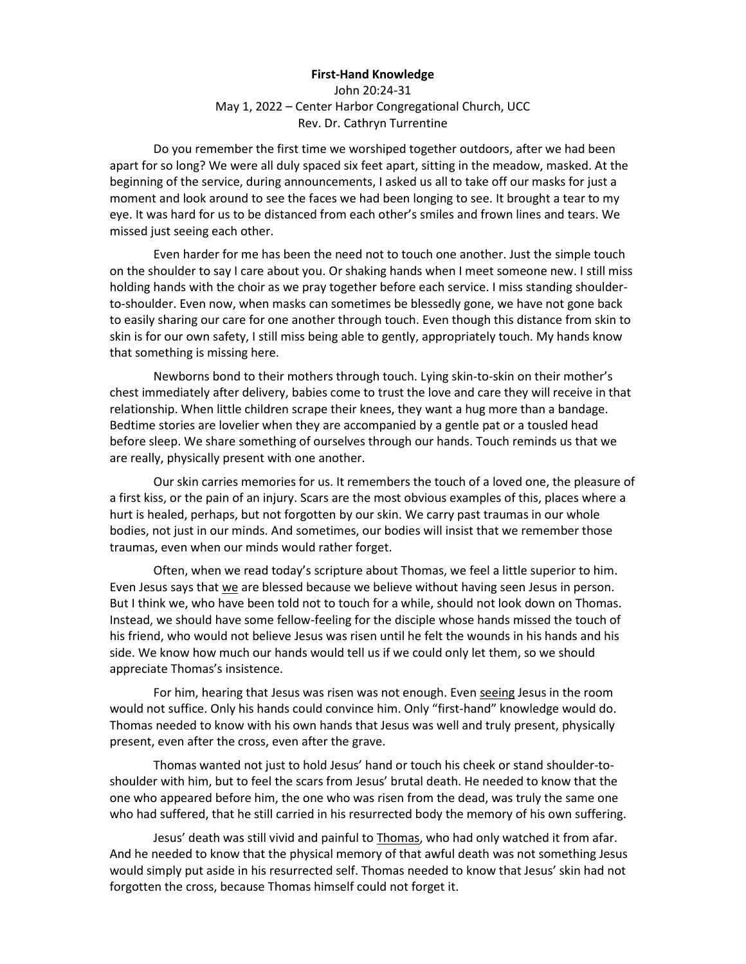## **First-Hand Knowledge**

John 20:24-31 May 1, 2022 – Center Harbor Congregational Church, UCC Rev. Dr. Cathryn Turrentine

Do you remember the first time we worshiped together outdoors, after we had been apart for so long? We were all duly spaced six feet apart, sitting in the meadow, masked. At the beginning of the service, during announcements, I asked us all to take off our masks for just a moment and look around to see the faces we had been longing to see. It brought a tear to my eye. It was hard for us to be distanced from each other's smiles and frown lines and tears. We missed just seeing each other.

Even harder for me has been the need not to touch one another. Just the simple touch on the shoulder to say I care about you. Or shaking hands when I meet someone new. I still miss holding hands with the choir as we pray together before each service. I miss standing shoulderto-shoulder. Even now, when masks can sometimes be blessedly gone, we have not gone back to easily sharing our care for one another through touch. Even though this distance from skin to skin is for our own safety, I still miss being able to gently, appropriately touch. My hands know that something is missing here.

Newborns bond to their mothers through touch. Lying skin-to-skin on their mother's chest immediately after delivery, babies come to trust the love and care they will receive in that relationship. When little children scrape their knees, they want a hug more than a bandage. Bedtime stories are lovelier when they are accompanied by a gentle pat or a tousled head before sleep. We share something of ourselves through our hands. Touch reminds us that we are really, physically present with one another.

Our skin carries memories for us. It remembers the touch of a loved one, the pleasure of a first kiss, or the pain of an injury. Scars are the most obvious examples of this, places where a hurt is healed, perhaps, but not forgotten by our skin. We carry past traumas in our whole bodies, not just in our minds. And sometimes, our bodies will insist that we remember those traumas, even when our minds would rather forget.

Often, when we read today's scripture about Thomas, we feel a little superior to him. Even Jesus says that we are blessed because we believe without having seen Jesus in person. But I think we, who have been told not to touch for a while, should not look down on Thomas. Instead, we should have some fellow-feeling for the disciple whose hands missed the touch of his friend, who would not believe Jesus was risen until he felt the wounds in his hands and his side. We know how much our hands would tell us if we could only let them, so we should appreciate Thomas's insistence.

For him, hearing that Jesus was risen was not enough. Even seeing Jesus in the room would not suffice. Only his hands could convince him. Only "first-hand" knowledge would do. Thomas needed to know with his own hands that Jesus was well and truly present, physically present, even after the cross, even after the grave.

Thomas wanted not just to hold Jesus' hand or touch his cheek or stand shoulder-toshoulder with him, but to feel the scars from Jesus' brutal death. He needed to know that the one who appeared before him, the one who was risen from the dead, was truly the same one who had suffered, that he still carried in his resurrected body the memory of his own suffering.

Jesus' death was still vivid and painful to Thomas, who had only watched it from afar. And he needed to know that the physical memory of that awful death was not something Jesus would simply put aside in his resurrected self. Thomas needed to know that Jesus' skin had not forgotten the cross, because Thomas himself could not forget it.